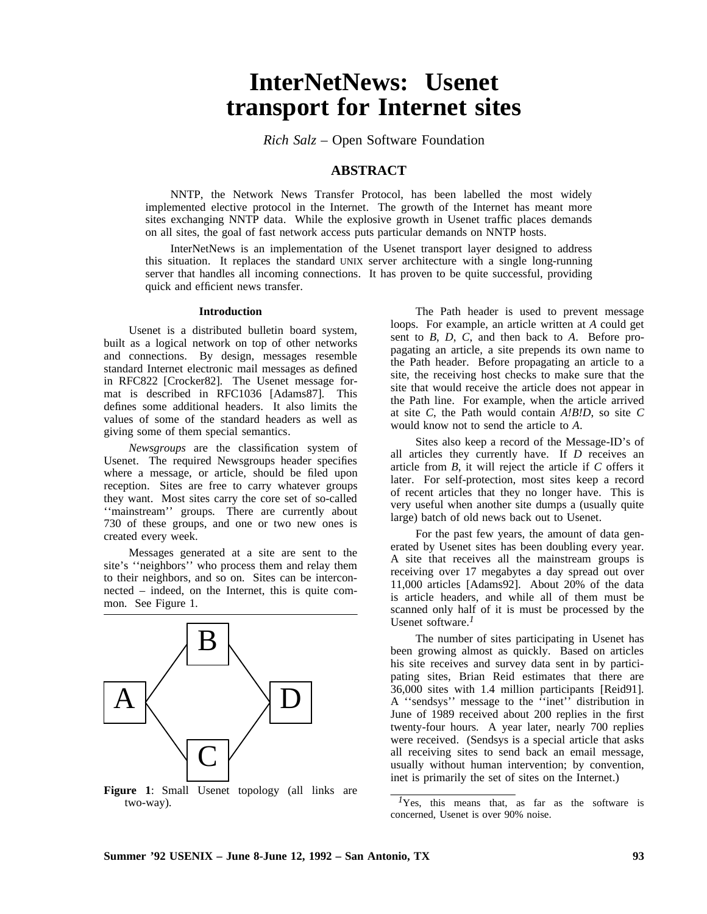# **InterNetNews: Usenet transport for Internet sites**

*Rich Salz –* Open Software Foundation

## **ABSTRACT**

NNTP, the Network News Transfer Protocol, has been labelled the most widely implemented elective protocol in the Internet. The growth of the Internet has meant more sites exchanging NNTP data. While the explosive growth in Usenet traffic places demands on all sites, the goal of fast network access puts particular demands on NNTP hosts.

InterNetNews is an implementation of the Usenet transport layer designed to address this situation. It replaces the standard UNIX server architecture with a single long-running server that handles all incoming connections. It has proven to be quite successful, providing quick and efficient news transfer.

## **Introduction**

Usenet is a distributed bulletin board system, built as a logical network on top of other networks and connections. By design, messages resemble standard Internet electronic mail messages as defined in RFC822 [Crocker82]. The Usenet message format is described in RFC1036 [Adams87]. This defines some additional headers. It also limits the values of some of the standard headers as well as giving some of them special semantics.

*Newsgroups* are the classification system of Usenet. The required Newsgroups header specifies where a message, or article, should be filed upon reception. Sites are free to carry whatever groups they want. Most sites carry the core set of so-called ''mainstream'' groups. There are currently about 730 of these groups, and one or two new ones is created every week.

Messages generated at a site are sent to the site's ''neighbors'' who process them and relay them to their neighbors, and so on. Sites can be interconnected – indeed, on the Internet, this is quite common. See Figure 1.



**Figure 1**: Small Usenet topology (all links are two-way).

The Path header is used to prevent message loops. For example, an article written at *A* could get sent to *B*, *D*, *C*, and then back to *A*. Before propagating an article, a site prepends its own name to the Path header. Before propagating an article to a site, the receiving host checks to make sure that the site that would receive the article does not appear in the Path line. For example, when the article arrived at site *C*, the Path would contain *A!B!D*, so site *C* would know not to send the article to *A*.

Sites also keep a record of the Message-ID's of all articles they currently have. If *D* receives an article from *B*, it will reject the article if *C* offers it later. For self-protection, most sites keep a record of recent articles that they no longer have. This is very useful when another site dumps a (usually quite large) batch of old news back out to Usenet.

For the past few years, the amount of data generated by Usenet sites has been doubling every year. A site that receives all the mainstream groups is receiving over 17 megabytes a day spread out over 11,000 articles [Adams92]. About 20% of the data is article headers, and while all of them must be scanned only half of it is must be processed by the Usenet software. *1*

The number of sites participating in Usenet has been growing almost as quickly. Based on articles his site receives and survey data sent in by participating sites, Brian Reid estimates that there are 36,000 sites with 1.4 million participants [Reid91]. A ''sendsys'' message to the ''inet'' distribution in June of 1989 received about 200 replies in the first twenty-four hours. A year later, nearly 700 replies were received. (Sendsys is a special article that asks all receiving sites to send back an email message, usually without human intervention; by convention, inet is primarily the set of sites on the Internet.)

<sup>&</sup>lt;sup>*1*</sup>Yes, this means that, as far as the software is concerned, Usenet is over 90% noise.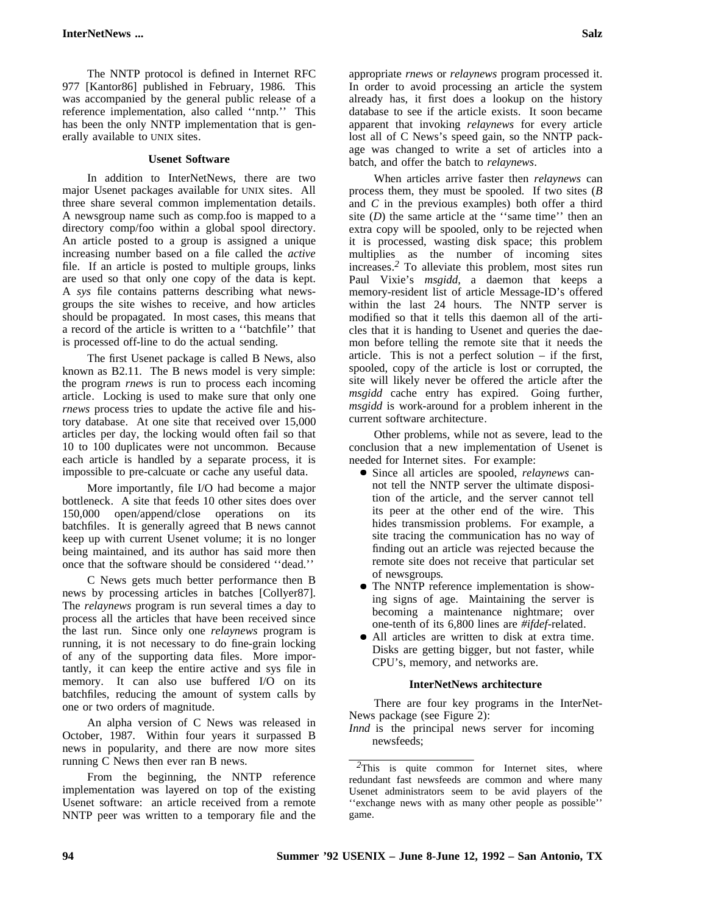The NNTP protocol is defined in Internet RFC 977 [Kantor86] published in February, 1986. This was accompanied by the general public release of a reference implementation, also called ''nntp.'' This has been the only NNTP implementation that is generally available to UNIX sites.

## **Usenet Software**

In addition to InterNetNews, there are two major Usenet packages available for UNIX sites. All three share several common implementation details. A newsgroup name such as comp.foo is mapped to a directory comp/foo within a global spool directory. An article posted to a group is assigned a unique increasing number based on a file called the *active* file. If an article is posted to multiple groups, links are used so that only one copy of the data is kept. A *sys* file contains patterns describing what newsgroups the site wishes to receive, and how articles should be propagated. In most cases, this means that a record of the article is written to a ''batchfile'' that is processed off-line to do the actual sending.

The first Usenet package is called B News, also known as B2.11. The B news model is very simple: the program *rnews* is run to process each incoming article. Locking is used to make sure that only one *rnews* process tries to update the active file and history database. At one site that received over 15,000 articles per day, the locking would often fail so that 10 to 100 duplicates were not uncommon. Because each article is handled by a separate process, it is impossible to pre-calcuate or cache any useful data.

More importantly, file I/O had become a major bottleneck. A site that feeds 10 other sites does over 150,000 open/append/close operations on its batchfiles. It is generally agreed that B news cannot keep up with current Usenet volume; it is no longer being maintained, and its author has said more then once that the software should be considered ''dead.''

C News gets much better performance then B news by processing articles in batches [Collyer87]. The *relaynews* program is run several times a day to process all the articles that have been received since the last run. Since only one *relaynews* program is running, it is not necessary to do fine-grain locking of any of the supporting data files. More importantly, it can keep the entire active and sys file in memory. It can also use buffered I/O on its batchfiles, reducing the amount of system calls by one or two orders of magnitude.

An alpha version of C News was released in October, 1987. Within four years it surpassed B news in popularity, and there are now more sites running C News then ever ran B news.

From the beginning, the NNTP reference implementation was layered on top of the existing Usenet software: an article received from a remote NNTP peer was written to a temporary file and the appropriate *rnews* or *relaynews* program processed it. In order to avoid processing an article the system already has, it first does a lookup on the history database to see if the article exists. It soon became apparent that invoking *relaynews* for every article lost all of C News's speed gain, so the NNTP package was changed to write a set of articles into a batch, and offer the batch to *relaynews*.

When articles arrive faster then *relaynews* can process them, they must be spooled. If two sites (*B* and *C* in the previous examples) both offer a third site  $(D)$  the same article at the "same time" then an extra copy will be spooled, only to be rejected when it is processed, wasting disk space; this problem multiplies as the number of incoming sites increases. *<sup>2</sup>* To alleviate this problem, most sites run Paul Vixie's *msgidd*, a daemon that keeps a memory-resident list of article Message-ID's offered within the last 24 hours. The NNTP server is modified so that it tells this daemon all of the articles that it is handing to Usenet and queries the daemon before telling the remote site that it needs the article. This is not a perfect solution – if the first, spooled, copy of the article is lost or corrupted, the site will likely never be offered the article after the *msgidd* cache entry has expired. Going further, *msgidd* is work-around for a problem inherent in the current software architecture.

Other problems, while not as severe, lead to the conclusion that a new implementation of Usenet is needed for Internet sites. For example:

- Since all articles are spooled, *relaynews* cannot tell the NNTP server the ultimate disposition of the article, and the server cannot tell its peer at the other end of the wire. This hides transmission problems. For example, a site tracing the communication has no way of finding out an article was rejected because the remote site does not receive that particular set of newsgroups.
- The NNTP reference implementation is showing signs of age. Maintaining the server is becoming a maintenance nightmare; over one-tenth of its 6,800 lines are *#ifdef*-related.
- All articles are written to disk at extra time. Disks are getting bigger, but not faster, while CPU's, memory, and networks are.

#### **InterNetNews architecture**

There are four key programs in the InterNet-News package (see Figure 2):

*Innd* is the principal news server for incoming newsfeeds;

<sup>&</sup>lt;sup>2</sup>This is quite common for Internet sites, where redundant fast newsfeeds are common and where many Usenet administrators seem to be avid players of the ''exchange news with as many other people as possible'' game.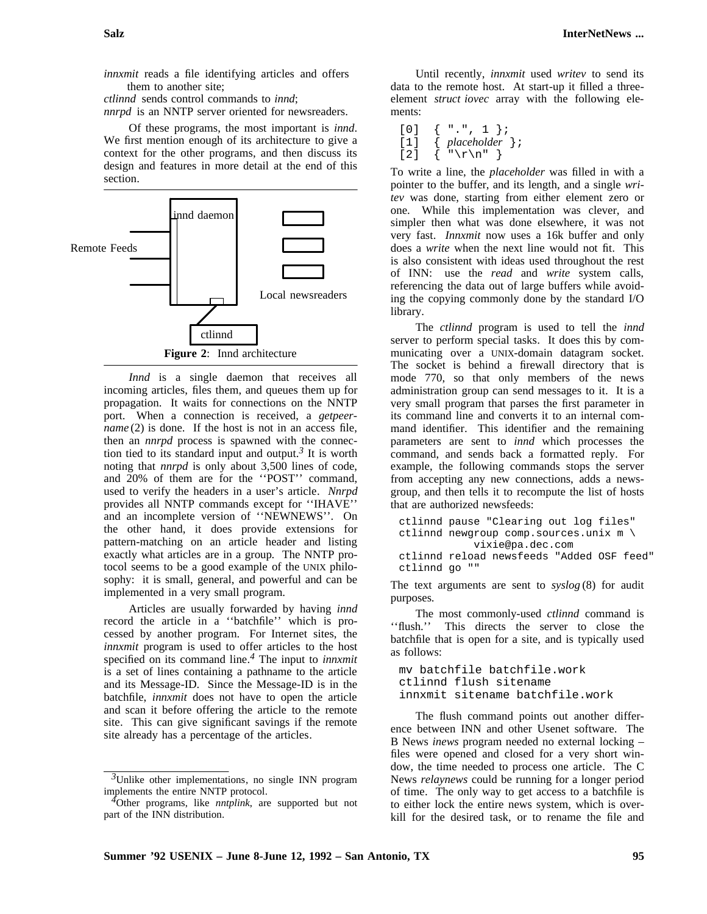*innxmit* reads a file identifying articles and offers them to another site;

*ctlinnd* sends control commands to *innd*;

*nnrpd* is an NNTP server oriented for newsreaders.

Of these programs, the most important is *innd*. We first mention enough of its architecture to give a context for the other programs, and then discuss its design and features in more detail at the end of this section.



*Innd* is a single daemon that receives all incoming articles, files them, and queues them up for propagation. It waits for connections on the NNTP port. When a connection is received, a *getpeername* (2) is done. If the host is not in an access file, then an *nnrpd* process is spawned with the connection tied to its standard input and output. *3* It is worth noting that *nnrpd* is only about 3,500 lines of code, and 20% of them are for the ''POST'' command, used to verify the headers in a user's article. *Nnrpd* provides all NNTP commands except for ''IHAVE'' and an incomplete version of ''NEWNEWS''. On the other hand, it does provide extensions for pattern-matching on an article header and listing exactly what articles are in a group. The NNTP protocol seems to be a good example of the UNIX philosophy: it is small, general, and powerful and can be implemented in a very small program.

Articles are usually forwarded by having *innd* record the article in a ''batchfile'' which is processed by another program. For Internet sites, the *innxmit* program is used to offer articles to the host specified on its command line. *<sup>4</sup>* The input to *innxmit* is a set of lines containing a pathname to the article and its Message-ID. Since the Message-ID is in the batchfile, *innxmit* does not have to open the article and scan it before offering the article to the remote site. This can give significant savings if the remote site already has a percentage of the articles.

Until recently, *innxmit* used *writev* to send its data to the remote host. At start-up it filled a threeelement *struct iovec* array with the following elements:

```
[0] \{ "." , 1 };<br>[1] \{ placeholder[1] { placeholder };
\lceil 2 \rceil \langle "\r\n" }
```
To write a line, the *placeholder* was filled in with a pointer to the buffer, and its length, and a single *writev* was done, starting from either element zero or one. While this implementation was clever, and simpler then what was done elsewhere, it was not very fast. *Innxmit* now uses a 16k buffer and only does a *write* when the next line would not fit. This is also consistent with ideas used throughout the rest of INN: use the *read* and *write* system calls, referencing the data out of large buffers while avoiding the copying commonly done by the standard I/O library.

The *ctlinnd* program is used to tell the *innd* server to perform special tasks. It does this by communicating over a UNIX-domain datagram socket. The socket is behind a firewall directory that is mode 770, so that only members of the news administration group can send messages to it. It is a very small program that parses the first parameter in its command line and converts it to an internal command identifier. This identifier and the remaining parameters are sent to *innd* which processes the command, and sends back a formatted reply. For example, the following commands stops the server from accepting any new connections, adds a newsgroup, and then tells it to recompute the list of hosts that are authorized newsfeeds:

```
ctlinnd pause "Clearing out log files"
ctlinnd newgroup comp.sources.unix m \
            vixie@pa.dec.com
ctlinnd reload newsfeeds "Added OSF feed"
ctlinnd go ""
```
The text arguments are sent to *syslog* (8) for audit purposes.

The most commonly-used *ctlinnd* command is ''flush.'' This directs the server to close the batchfile that is open for a site, and is typically used as follows:

```
mv batchfile batchfile.work
ctlinnd flush sitename
innxmit sitename batchfile.work
```
The flush command points out another difference between INN and other Usenet software. The B News *inews* program needed no external locking – files were opened and closed for a very short window, the time needed to process one article. The C News *relaynews* could be running for a longer period of time. The only way to get access to a batchfile is to either lock the entire news system, which is overkill for the desired task, or to rename the file and

*<sup>3</sup>*Unlike other implementations, no single INN program implements the entire NNTP protocol.

*<sup>4</sup>*Other programs, like *nntplink*, are supported but not part of the INN distribution.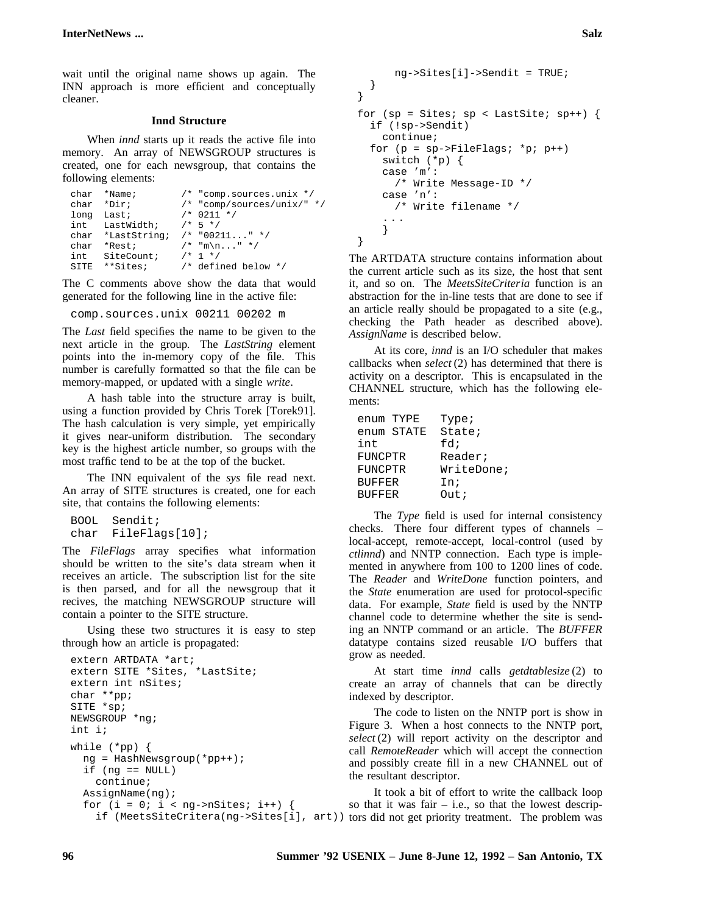wait until the original name shows up again. The INN approach is more efficient and conceptually cleaner.

#### **Innd Structure**

When *innd* starts up it reads the active file into memory. An array of NEWSGROUP structures is created, one for each newsgroup, that contains the following elements:

```
char *Name; /* "comp.sources.unix */<br>char *Dir; /* "comp/sources/unix/"
                               /* "comp/sources/unix/" */<br>/* 0211 */
long Last; /* 0211<br>int LastWidth; /* 5 */
int LastWidth;
char *LastString; /* "00211..." */<br>char *Rest; /* "m\n..." */
char *Rest; \frac{1}{x} \frac{1}{x} \frac{1}{x} \frac{1}{x} \frac{1}{x} \frac{1}{x}int SiteCount;
SITE **Sites; /* defined below */
```
The C comments above show the data that would generated for the following line in the active file:

comp.sources.unix 00211 00202 m

The *Last* field specifies the name to be given to the next article in the group. The *LastString* element points into the in-memory copy of the file. This number is carefully formatted so that the file can be memory-mapped, or updated with a single *write*.

A hash table into the structure array is built, using a function provided by Chris Torek [Torek91]. The hash calculation is very simple, yet empirically it gives near-uniform distribution. The secondary key is the highest article number, so groups with the most traffic tend to be at the top of the bucket.

The INN equivalent of the *sys* file read next. An array of SITE structures is created, one for each site, that contains the following elements:

```
BOOL Sendit;
char FileFlags[10];
```
The *FileFlags* array specifies what information should be written to the site's data stream when it receives an article. The subscription list for the site is then parsed, and for all the newsgroup that it recives, the matching NEWSGROUP structure will contain a pointer to the SITE structure.

Using these two structures it is easy to step through how an article is propagated:

```
extern ARTDATA *art;
extern SITE *Sites, *LastSite;
extern int nSites;
char **pp;
SITE *sp;
NEWSGROUP *ng;
int i;
while (*pp) {
  ng = HashNewsgroup(*pp++);
  if (nq == NULL)continue;
  AssignName(ng);
  for (i = 0; i < ng->nSites; i++) {
```

```
ng->Sites[i]->Sendit = TRUE;
 }
}
for (sp = Sites; sp < LastSite; sp++) {
 if (!sp->Sendit)
   continue;
 for (p = sp->FileFlaqs; *p; p++)switch (*p) {
   case 'm':
     /* Write Message-ID */
   case 'n':
     /* Write filename */
    . . .
   }
}
```
The ARTDATA structure contains information about the current article such as its size, the host that sent it, and so on. The *MeetsSiteCriteria* function is an abstraction for the in-line tests that are done to see if an article really should be propagated to a site (e.g., checking the Path header as described above). *AssignName* is described below.

At its core, *innd* is an I/O scheduler that makes callbacks when *select* (2) has determined that there is activity on a descriptor. This is encapsulated in the CHANNEL structure, which has the following elements:

| enum TYPE     | Type;        |
|---------------|--------------|
| enum STATE    | State;       |
| int           | fd;          |
| FUNCPTR       | Reader;      |
| FUNCPTR       | WriteDone;   |
| <b>BUFFER</b> | In;          |
| <b>BUFFER</b> | Out <i>i</i> |

The *Type* field is used for internal consistency checks. There four different types of channels – local-accept, remote-accept, local-control (used by *ctlinnd*) and NNTP connection. Each type is implemented in anywhere from 100 to 1200 lines of code. The *Reader* and *WriteDone* function pointers, and the *State* enumeration are used for protocol-specific data. For example, *State* field is used by the NNTP channel code to determine whether the site is sending an NNTP command or an article. The *BUFFER* datatype contains sized reusable I/O buffers that grow as needed.

At start time *innd* calls *getdtablesize* (2) to create an array of channels that can be directly indexed by descriptor.

The code to listen on the NNTP port is show in Figure 3. When a host connects to the NNTP port, *select* (2) will report activity on the descriptor and call *RemoteReader* which will accept the connection and possibly create fill in a new CHANNEL out of the resultant descriptor.

if (MeetsSiteCritera(ng->Sites[i], art)) tors did not get priority treatment. The problem was It took a bit of effort to write the callback loop so that it was fair  $-$  i.e., so that the lowest descrip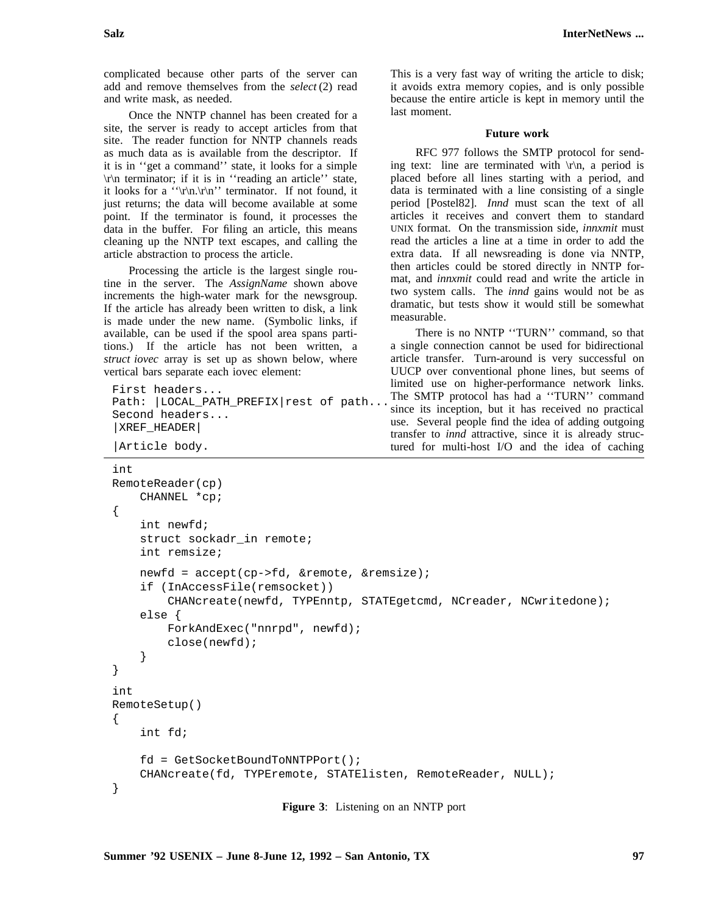complicated because other parts of the server can add and remove themselves from the *select* (2) read and write mask, as needed.

Once the NNTP channel has been created for a site, the server is ready to accept articles from that site. The reader function for NNTP channels reads as much data as is available from the descriptor. If it is in ''get a command'' state, it looks for a simple \r\n terminator; if it is in ''reading an article'' state, it looks for a ''\r\n.\r\n'' terminator. If not found, it just returns; the data will become available at some point. If the terminator is found, it processes the data in the buffer. For filing an article, this means cleaning up the NNTP text escapes, and calling the article abstraction to process the article.

Processing the article is the largest single routine in the server. The *AssignName* shown above increments the high-water mark for the newsgroup. If the article has already been written to disk, a link is made under the new name. (Symbolic links, if available, can be used if the spool area spans partitions.) If the article has not been written, a *struct iovec* array is set up as shown below, where vertical bars separate each iovec element:

```
First headers...
Path: |LOCAL_PATH_PREFIX|rest of path...
Second headers...
|XREF_HEADER|
```

```
|Article body.
```
This is a very fast way of writing the article to disk; it avoids extra memory copies, and is only possible because the entire article is kept in memory until the last moment.

#### **Future work**

RFC 977 follows the SMTP protocol for sending text: line are terminated with  $\lvert \mathbf{r} \rvert$ , a period is placed before all lines starting with a period, and data is terminated with a line consisting of a single period [Postel82]. *Innd* must scan the text of all articles it receives and convert them to standard UNIX format. On the transmission side, *innxmit* must read the articles a line at a time in order to add the extra data. If all newsreading is done via NNTP, then articles could be stored directly in NNTP format, and *innxmit* could read and write the article in two system calls. The *innd* gains would not be as dramatic, but tests show it would still be somewhat measurable.

There is no NNTP ''TURN'' command, so that a single connection cannot be used for bidirectional article transfer. Turn-around is very successful on UUCP over conventional phone lines, but seems of limited use on higher-performance network links. The SMTP protocol has had a ''TURN'' command since its inception, but it has received no practical use. Several people find the idea of adding outgoing transfer to *innd* attractive, since it is already structured for multi-host I/O and the idea of caching

```
int
RemoteReader(cp)
    CHANNEL *cp;
{
    int newfd;
    struct sockadr_in remote;
    int remsize;
    newfd = accept(cp->fd, &remote, &remsize);
    if (InAccessFile(remsocket))
        CHANcreate(newfd, TYPEnntp, STATEgetcmd, NCreader, NCwritedone);
    else {
        ForkAndExec("nnrpd", newfd);
        close(newfd);
    }
}
int
RemoteSetup()
{
    int fd;
    fd = GetSocketBoundToNNTPPort();
    CHANcreate(fd, TYPEremote, STATElisten, RemoteReader, NULL);
}
```